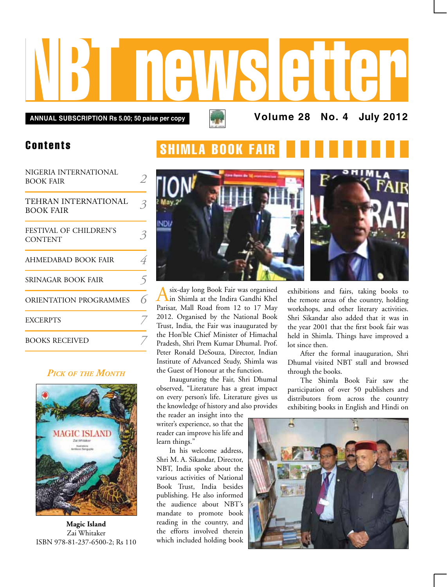# NBT newsletter

**Annual subscription Rs 5.00; 50 paise per copy Volume 28 No. 4 July 2012**

## Contents

nigeria international

# **SHIMLA BOOK FAI**

| <b>BOOK FAIR</b>                         |  |
|------------------------------------------|--|
| TEHRAN INTERNATIONAL<br><b>BOOK FAIR</b> |  |
| FESTIVAL OF CHILDREN'S<br>CONTENT        |  |
| AHMEDABAD BOOK FAIR                      |  |
| SRINAGAR BOOK FAIR                       |  |
| ORIENTATION PROGRAMMES                   |  |
| <b>EXCERPTS</b>                          |  |
| <b>BOOKS RECEIVED</b>                    |  |

## *Pick of the Month*



**Magic Island** Zai Whitaker ISBN 978-81-237-6500-2; Rs 110



Asix-day long Book Fair was organised in Shimla at the Indira Gandhi Khel Parisar, Mall Road from 12 to 17 May 2012. Organised by the National Book Trust, India, the Fair was inaugurated by the Hon'ble Chief Minister of Himachal Pradesh, Shri Prem Kumar Dhumal. Prof. Peter Ronald DeSouza, Director, Indian Institute of Advanced Study, Shimla was the Guest of Honour at the function.

Inaugurating the Fair, Shri Dhumal observed, "Literature has a great impact on every person's life. Literature gives us the knowledge of history and also provides

the reader an insight into the writer's experience, so that the reader can improve his life and learn things."

In his welcome address, Shri M. A. Sikandar, Director, NBT, India spoke about the various activities of National Book Trust, India besides publishing. He also informed the audience about NBT's mandate to promote book reading in the country, and the efforts involved therein which included holding book exhibitions and fairs, taking books to the remote areas of the country, holding workshops, and other literary activities. Shri Sikandar also added that it was in the year 2001 that the first book fair was held in Shimla. Things have improved a lot since then.

After the formal inauguration, Shri Dhumal visited NBT stall and browsed through the books.

The Shimla Book Fair saw the participation of over 50 publishers and distributors from across the country exhibiting books in English and Hindi on

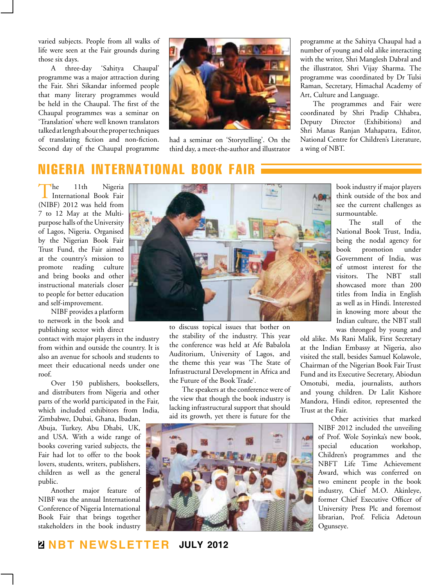varied subjects. People from all walks of life were seen at the Fair grounds during those six days.

A three-day 'Sahitya Chaupal' programme was a major attraction during the Fair. Shri Sikandar informed people that many literary programmes would be held in the Chaupal. The first of the Chaupal programmes was a seminar on 'Translation' where well known translators talked at length about the proper techniques of translating fiction and non-fiction. Second day of the Chaupal programme



had a seminar on 'Storytelling'. On the third day, a meet-the-author and illustrator

programme at the Sahitya Chaupal had a number of young and old alike interacting with the writer, Shri Manglesh Dabral and the illustrator, Shri Vijay Sharma. The programme was coordinated by Dr Tulsi Raman, Secretary, Himachal Academy of Art, Culture and Language.

The programmes and Fair were coordinated by Shri Pradip Chhabra, Deputy Director (Exhibitions) and Shri Manas Ranjan Mahapatra, Editor, National Centre for Children's Literature, a wing of NBT.

# nigeria international Book Fair

The 11th Nigeria International Book Fair (NIBF) 2012 was held from 7 to 12 May at the Multipurpose halls of the University of Lagos, Nigeria. Organised by the Nigerian Book Fair Trust Fund, the Fair aimed at the country's mission to promote reading culture and bring books and other instructional materials closer to people for better education and self-improvement.

NIBF provides a platform to network in the book and publishing sector with direct

contact with major players in the industry from within and outside the country. It is also an avenue for schools and students to meet their educational needs under one roof.

Over 150 publishers, booksellers, and distributers from Nigeria and other parts of the world participated in the Fair, which included exhibitors from India,

Zimbabwe, Dubai, Ghana, Ibadan, Abuja, Turkey, Abu Dhabi, UK, and USA. With a wide range of books covering varied subjects, the Fair had lot to offer to the book lovers, students, writers, publishers, children as well as the general public.

Another major feature of NIBF was the annual International Conference of Nigeria International Book Fair that brings together stakeholders in the book industry



to discuss topical issues that bother on the stability of the industry. This year the conference was held at Afe Babalola Auditorium, University of Lagos, and the theme this year was 'The State of Infrastructural Development in Africa and the Future of the Book Trade'.

The speakers at the conference were of the view that though the book industry is lacking infrastructural support that should aid its growth, yet there is future for the



book industry if major players think outside of the box and see the current challenges as surmountable.

The stall of the National Book Trust, India, being the nodal agency for book promotion under Government of India, was of utmost interest for the visitors. The NBT stall showcased more than 200 titles from India in English as well as in Hindi. Interested in knowing more about the Indian culture, the NBT stall was thronged by young and

old alike. Ms Rani Malik, First Secretary at the Indian Embassy at Nigeria, also visited the stall, besides Samuel Kolawole, Chairman of the Nigerian Book Fair Trust Fund and its Executive Secretary, Abiodun Omotubi, media, journalists, authors and young children. Dr Lalit Kishore Mandora, Hindi editor, represented the Trust at the Fair.

> Other activities that marked NIBF 2012 included the unveiling of Prof. Wole Soyinka's new book, special education workshop, Children's programmes and the NBFT Life Time Achievement Award, which was conferred on two eminent people in the book industry, Chief M.O. Akinleye, former Chief Executive Officer of University Press Plc and foremost librarian, Prof. Felicia Adetoun Ogunseye.

**2 NBT Newsletter JULY 2012**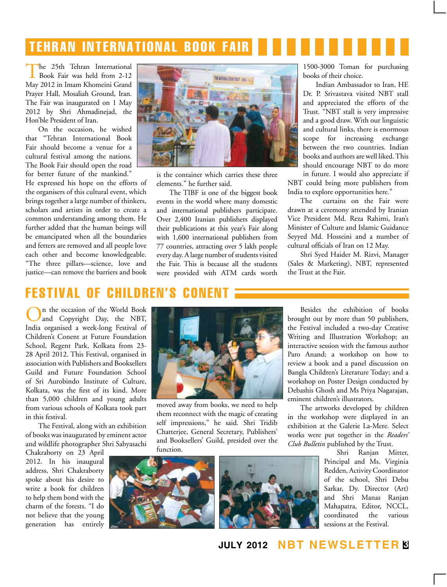# **TEHRAN INTERNATIONAL BOOK FAIR**

The 25th Tehran International Book Fair was held from 2-12 May 2012 in Imam Khomeini Grand Prayer Hall, Mosaliah Ground, Iran. The Fair was inaugurated on 1 May 2012 by Shri Ahmadinejad, the Hon'ble President of Iran.

On the occasion, he wished that "Tehran International Book Fair should become a venue for a cultural festival among the nations. The Book Fair should open the road for better future of the mankind."

He expressed his hope on the efforts of the organisers of this cultural event, which brings together a large number of thinkers, scholars and artists in order to create a common understanding among them. He further added that the human beings will be emancipated when all the boundaries and fetters are removed and all people love each other and become knowledgeable. "The three pillars—science, love and justice—can remove the barriers and book



is the container which carries these three elements." he further said.

The TIBF is one of the biggest book events in the world where many domestic and international publishers participate. Over 2,400 Iranian publishers displayed their publications at this year's Fair along with 1,600 international publishers from 77 countries, attracting over 5 lakh people every day. A large number of students visited the Fair. This is because all the students were provided with ATM cards worth

1500-3000 Toman for purchasing books of their choice.

Indian Ambassador to Iran, HE Dr. P. Srivastava visited NBT stall and appreciated the efforts of the Trust. "NBT stall is very impressive and a good draw. With our linguistic and cultural links, there is enormous scope for increasing exchange between the two countries. Indian books and authors are well liked. This should encourage NBT to do more

in future. I would also appreciate if NBT could bring more publishers from India to explore opportunities here."

The curtains on the Fair were drawn at a ceremony attended by Iranian Vice President Md. Reza Rahimi, Iran's Minister of Culture and Islamic Guidance Seyyed Md. Hosseini and a number of cultural officials of Iran on 12 May.

Shri Syed Haider M. Rizvi, Manager (Sales & Marketing), NBT, represented the Trust at the Fair.

# FFSTIVAI OF CHIIDR

On the occasion of the World Book and Copyright Day, the NBT, India organised a week-long Festival of Children's Conent at Future Foundation School, Regent Park, Kolkata from 23- 28 April 2012. This Festival, organised in association with Publishers and Booksellers Guild and Future Foundation School of Sri Aurobindo Institute of Culture, Kolkata, was the first of its kind. More than 5,000 children and young adults from various schools of Kolkata took part in this festival.

The Festival, along with an exhibition of books was inaugurated by eminent actor and wildlife photographer Shri Sabyasachi

Chakraborty on 23 April 2012. In his inaugural address, Shri Chakraborty spoke about his desire to write a book for children to help them bond with the charm of the forests. "I do not believe that the young generation has entirely



moved away from books, we need to help them reconnect with the magic of creating self impressions," he said. Shri Tridib Chatterjee, General Secretary, Publishers' and Booksellers' Guild, presided over the function.

Besides the exhibition of books brought out by more than 50 publishers, the Festival included a two-day Creative Writing and Illustration Workshop; an interactive session with the famous author Paro Anand; a workshop on how to review a book and a panel discussion on Bangla Children's Literature Today; and a workshop on Poster Design conducted by Debashis Ghosh and Ms Priya Nagarajan, eminent children's illustrators.

The artworks developed by children in the workshop were displayed in an exhibition at the Galerie La-Mere. Select works were put together in the *Readers' Club Bulletin* published by the Trust.

> Shri Ranjan Mitter, Principal and Ms. Virginia Redden, Activity Coordinator of the school, Shri Debu Sarkar, Dy. Director (Art) and Shri Manas Ranjan Mahapatra, Editor, NCCL, coordinated the various sessions at the Festival.

**JULY 2012 NBT Newsletter 3**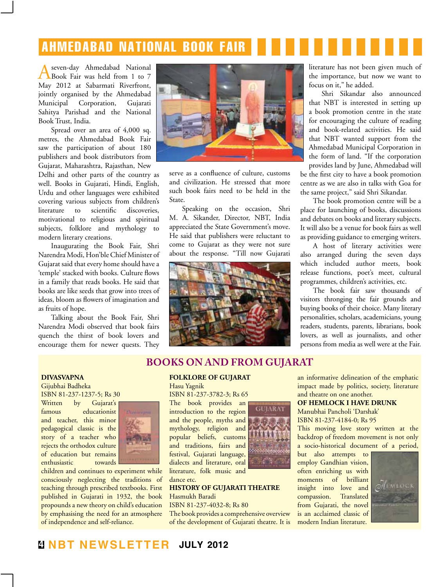# ahmedabad national book fair

seven-day Ahmedabad National Book Fair was held from 1 to 7 May 2012 at Sabarmati Riverfront, jointly organised by the Ahmedabad Municipal Corporation, Gujarati Sahitya Parishad and the National Book Trust, India.

Spread over an area of 4,000 sq. metres, the Ahmedabad Book Fair saw the participation of about 180 publishers and book distributors from Gujarat, Maharashtra, Rajasthan, New

Delhi and other parts of the country as well. Books in Gujarati, Hindi, English, Urdu and other languages were exhibited covering various subjects from children's literature to scientific discoveries, motivational to religious and spiritual subjects, folklore and mythology to modern literary creations.

Inaugurating the Book Fair, Shri Narendra Modi, Hon'ble Chief Minister of Gujarat said that every home should have a 'temple' stacked with books. Culture flows in a family that reads books. He said that books are like seeds that grow into trees of ideas, bloom as flowers of imagination and as fruits of hope.

Talking about the Book Fair, Shri Narendra Modi observed that book fairs quench the thirst of book lovers and encourage them for newer quests. They



serve as a confluence of culture, customs and civilization. He stressed that more such book fairs need to be held in the State.

Speaking on the occasion, Shri M. A. Sikander, Director, NBT, India appreciated the State Government's move. He said that publishers were reluctant to come to Gujarat as they were not sure about the response. "Till now Gujarati



literature has not been given much of the importance, but now we want to focus on it," he added.

Shri Sikandar also announced that NBT is interested in setting up a book promotion centre in the state for encouraging the culture of reading and book-related activities. He said that NBT wanted support from the Ahmedabad Municipal Corporation in the form of land. "If the corporation provides land by June, Ahmedabad will be the first city to have a book promotion centre as we are also in talks with Goa for the same project," said Shri Sikandar.

The book promotion centre will be a place for launching of books, discussions and debates on books and literary subjects. It will also be a venue for book fairs as well as providing guidance to emerging writers.

A host of literary activities were also arranged during the seven days which included author meets, book release functions, poet's meet, cultural programmes, children's activities, etc.

The book fair saw thousands of visitors thronging the fair grounds and buying books of their choice. Many literary personalities, scholars, academicians, young readers, students, parents, librarians, book lovers, as well as journalists, and other persons from media as well were at the Fair.

## **Books on and from Gujarat**

**GUIARAT** 

#### **DIVASVAPNA**

Gijubhai Badheka ISBN 81-237-1237-5; Rs 30

Written by Gujarat's famous educationist and teacher, this minor pedagogical classic is the story of a teacher who rejects the orthodox culture of education but remains enthusiastic towards



children and continues to experiment while consciously neglecting the traditions of teaching through prescribed textbooks. First published in Gujarati in 1932, the book propounds a new theory on child's education by emphasising the need for an atmosphere of independence and self-reliance.

#### **FOLKLORE OF GUJARAT** Hasu Yagnik

ISBN 81-237-3782-3; Rs 65

The book provides an introduction to the region and the people, myths and mythology, religion and popular beliefs, customs and traditions, fairs and festival, Gujarati language, dialects and literature, oral literature, folk music and dance etc.

#### **HISTORY OF GUJARATI THEATRE** Hasmukh Baradi

ISBN 81-237-4032-8; Rs 80 The book provides a comprehensive overview of the development of Gujarati theatre. It is an informative delineation of the emphatic impact made by politics, society, literature and theatre on one another.

#### **OF HEMLOCK I HAVE DRUNK**

Manubhai Pancholi 'Darshak' ISBN 81-237-4184-0; Rs 95 This moving love story written at the backdrop of freedom movement is not only a socio-historical document of a period,

but also attempts to employ Gandhian vision, often enriching us with moments of brilliant insight into love and compassion. Translated from Gujarati, the novel is an acclaimed classic of modern Indian literature.



## **4 NBT Newsletter JULY 2012**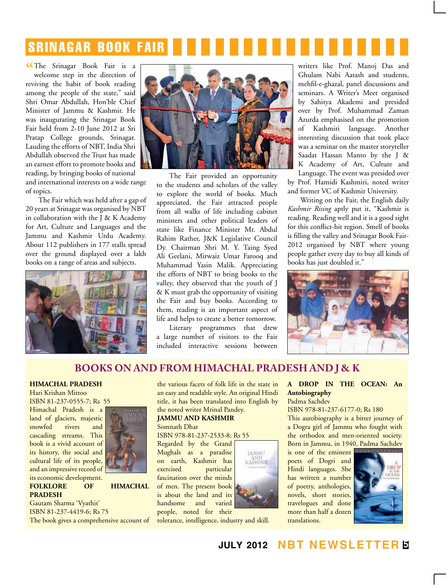# srinagar book fair

**CThe Srinagar Book Fair is a**<br>welcome step in the direction of welcome step in the direction of reviving the habit of book reading among the people of the state," said Shri Omar Abdullah, Hon'ble Chief Minister of Jammu & Kashmir. He was inaugurating the Srinagar Book Fair held from 2-10 June 2012 at Sri Pratap College grounds, Srinagar. Lauding the efforts of NBT, India Shri Abdullah observed the Trust has made an earnest effort to promote books and reading, by bringing books of national

and international interests on a wide range of topics.

The Fair which was held after a gap of 20 years at Srinagar was organised by NBT in collaboration with the J & K Academy for Art, Culture and Languages and the Jammu and Kashmir Urdu Academy. About 112 publishers in 177 stalls spread over the ground displayed over a lakh books on a range of areas and subjects.





The Fair provided an opportunity to the students and scholars of the valley to explore the world of books. Much appreciated, the Fair attracted people from all walks of life including cabinet ministers and other political leaders of state like Finance Minister Mr. Abdul Rahim Rather, J&K Legislative Council Dy. Chairman Shri M. Y. Taing Syed Ali Geelani, Mirwaiz Umar Farooq and Muhammad Yasin Malik. Appreciating the efforts of NBT to bring books to the valley, they observed that the youth of J & K must grab the opportunity of visiting the Fair and buy books. According to them, reading is an important aspect of life and helps to create a better tomorrow.

Literary programmes that drew a large number of visitors to the Fair included interactive sessions between

writers like Prof. Manoj Das and Ghulam Nabi Aatash and students, mehfil-e-ghazal, panel discussions and seminars. A Writer's Meet organised by Sahitya Akademi and presided over by Prof. Muhammad Zaman Azurda emphasised on the promotion of Kashmiri language. Another interesting discussion that took place was a seminar on the master storyteller Saadat Hassan Manto by the J & K Academy of Art, Culture and Language. The event was presided over

by Prof. Hamidi Kashmiri, noted writer and former VC of Kashmir University.

Writing on the Fair, the English daily *Kashmir Rising* aptly put it, "Kashmir is reading. Reading well and it is a good sight for this conflict-hit region. Smell of books is filling the valley and Srinagar Book Fair-2012 organised by NBT where young people gather every day to buy all kinds of books has just doubled it."



## **books on and from himachal Pradesh and j & k**

#### **HIMACHAL PRADESH**

Hari Krishan Mittoo ISBN 81-237-0555-7; Rs 55

Himachal Pradesh is a land of glaciers, majestic snowfed rivers and cascading streams. This book is a vivid account of its history, the social and cultural life of its people, and an impressive record of its economic development.

**PRADESH**



# **FOLKLORE OF HIMACHAL**

Gautam Sharma 'Vyathit' ISBN 81-237-4419-6; Rs 75 The book gives a comprehensive account of the various facets of folk life in the state in an easy and readable style. An original Hindi title, it has been translated into English by the noted writer Mrinal Pandey.

> JAMMU KASHMIR

#### **JAMMU AND KASHMIR** Somnath Dhar

#### ISBN 978-81-237-2533-8; Rs 55

Regarded by the Grand Mughals as a paradise on earth, Kashmir has exercised particular fascination over the minds of men. The present book is about the land and its handsome and varied people, noted for their

tolerance, intelligence, industry and skill.

#### **A DROP IN THE OCEAN: An Autobiography** Padma Sachdev

ISBN 978-81-237-6177-0; Rs 180

This autobiography is a bitter journey of a Dogra girl of Jammu who fought with the orthodox and men-oriented society. Born in Jammu, in 1940, Padma Sachdev

is one of the eminent poets of Dogri and Hindi languages. She has written a number of poetry, anthologies, novels, short stories, travelogues and done more than half a dozen translations.



**july 2012 NBT Newsletter 5**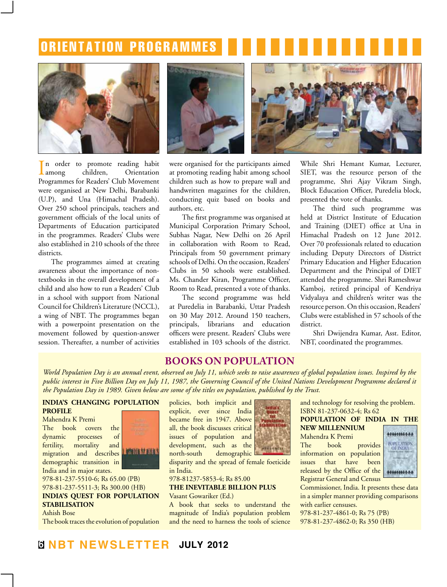# ORIENTATION PROGRAMMES



Lamong In order to promote reading habit children, Orientation Programmes for Readers' Club Movement were organised at New Delhi, Barabanki (U.P), and Una (Himachal Pradesh). Over 250 school principals, teachers and government officials of the local units of Departments of Education participated in the programmes. Readers' Clubs were also established in 210 schools of the three districts.

The programmes aimed at creating awareness about the importance of nontextbooks in the overall development of a child and also how to run a Readers' Club in a school with support from National Council for Children's Literature (NCCL), a wing of NBT. The programmes began with a powerpoint presentation on the movement followed by question-answer session. Thereafter, a number of activities



were organised for the participants aimed at promoting reading habit among school children such as how to prepare wall and handwritten magazines for the children, conducting quiz based on books and authors, etc.

The first programme was organised at Municipal Corporation Primary School, Subhas Nagar, New Delhi on 26 April in collaboration with Room to Read, Principals from 50 government primary schools of Delhi. On the occasion, Readers' Clubs in 50 schools were established. Ms. Chander Kiran, Programme Officer, Room to Read, presented a vote of thanks.

The second programme was held at Puredelia in Barabanki, Uttar Pradesh on 30 May 2012. Around 150 teachers, principals, librarians and education officers were present. Readers' Clubs were established in 103 schools of the district.

While Shri Hemant Kumar, Lecturer, SIET, was the resource person of the programme, Shri Ajay Vikram Singh, Block Education Officer, Puredelia block, presented the vote of thanks.

The third such programme was held at District Institute of Education and Training (DIET) office at Una in Himachal Pradesh on 12 June 2012. Over 70 professionals related to education including Deputy Directors of District Primary Education and Higher Education Department and the Principal of DIET attended the programme. Shri Rameshwar Kamboj, retired principal of Kendriya Vidyalaya and children's writer was the resource person. On this occasion, Readers' Clubs were established in 57 schools of the district.

Shri Dwijendra Kumar, Asst. Editor, NBT, coordinated the programmes.

## **Books on population**

*World Population Day is an annual event, observed on July 11, which seeks to raise awareness of global population issues. Inspired by the public interest in Five Billion Day on July 11, 1987, the Governing Council of the United Nations Development Programme declared it the Population Day in 1989. Given below are some of the titles on population, published by the Trust.* 

#### **INDIA'S CHANGING POPULATION PROFILE**

Mahendra K Premi The book covers the dynamic processes of fertility, mortality and migration and describes demographic transition in India and in major states.

978-81-237-5510-6; Rs 65.00 (PB) 978-81-237-5511-3; Rs 300.00 (HB) **INDIA'S QUEST FOR POPULATION STABILISATION**

Ashish Bose

The book traces the evolution of population

policies, both implicit and explicit, ever since India became free in 1947. Above all, the book discusses critical issues of population and development, such as the north-south demographic

disparity and the spread of female foeticide in India. 978-81237-5853-4; Rs 85.00

**THE INEVITABLE BILLION PLUS** Vasant Gowariker (Ed.)

A book that seeks to understand the magnitude of India's population problem and the need to harness the tools of science



and technology for resolving the problem. ISBN 81-237-0632-4; Rs 62

### **POPULATION OF INDIA IN THE NEW MILLENNIUM**

Mahendra K Premi The book provides information on population issues that have been released by the Office of the Registrar General and Census



Commissioner, India. It presents these data in a simpler manner providing comparisons with earlier censuses.

978-81-237-4861-0; Rs 75 (PB) 978-81-237-4862-0; Rs 350 (HB)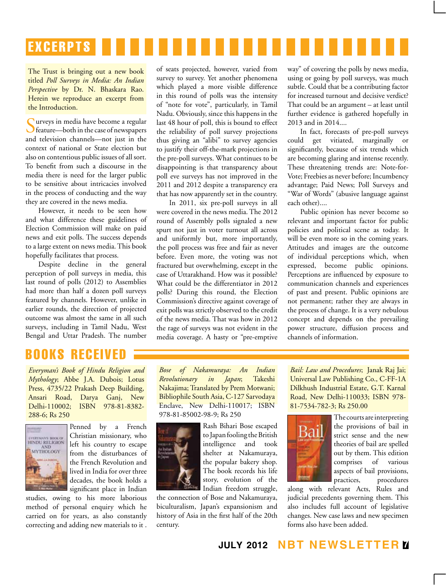

The Trust is bringing out a new book titled *Poll Surveys in Media: An Indian Perspective* by Dr. N. Bhaskara Rao. Herein we reproduce an excerpt from the Introduction.

Surveys in media have become a regular feature—both in the case of newspapers and television channels—not just in the context of national or State election but also on contentious public issues of all sort. To benefit from such a discourse in the media there is need for the larger public to be sensitive about intricacies involved in the process of conducting and the way they are covered in the news media.

However, it needs to be seen how and what difference these guidelines of Election Commission will make on paid news and exit polls. The success depends to a large extent on news media. This book hopefully facilitates that process.

Despite decline in the general perception of poll surveys in media, this last round of polls (2012) to Assemblies had more than half a dozen poll surveys featured by channels. However, unlike in earlier rounds, the direction of projected outcome was almost the same in all such surveys, including in Tamil Nadu, West Bengal and Uttar Pradesh. The number of seats projected, however, varied from survey to survey. Yet another phenomena which played a more visible difference in this round of polls was the intensity of "note for vote", particularly, in Tamil Nadu. Obviously, since this happens in the last 48 hour of poll, this is bound to effect the reliability of poll survey projections thus giving an "alibi" to survey agencies to justify their off-the-mark projections in the pre-poll surveys. What continues to be disappointing is that transparency about poll eve surveys has not improved in the 2011 and 2012 despite a transparency era that has now apparently set in the country.

In 2011, six pre-poll surveys in all were covered in the news media. The 2012 round of Assembly polls signaled a new spurt not just in voter turnout all across and uniformly but, more importantly, the poll process was free and fair as never before. Even more, the voting was not fractured but overwhelming, except in the case of Uttarakhand. How was it possible? What could be the differentiator in 2012 polls? During this round, the Election Commission's directive against coverage of exit polls was strictly observed to the credit of the news media. That was how in 2012 the rage of surveys was not evident in the media coverage. A hasty or "pre-emptive

way" of covering the polls by news media, using or going by poll surveys, was much subtle. Could that be a contributing factor for increased turnout and decisive verdict? That could be an argument – at least until further evidence is gathered hopefully in 2013 and in 2014....

In fact, forecasts of pre-poll surveys could get vitiated, marginally or significantly, because of six trends which are becoming glaring and intense recently. These threatening trends are: Note-for-Vote; Freebies as never before; Incumbency advantage; Paid News; Poll Surveys and "War of Words" (abusive language against each other)....

Public opinion has never become so relevant and important factor for public policies and political scene as today. It will be even more so in the coming years. Attitudes and images are the outcome of individual perceptions which, when expressed, become public opinions. Perceptions are influenced by exposure to communication channels and experiences of past and present. Public opinions are not permanent; rather they are always in the process of change. It is a very nebulous concept and depends on the prevailing power structure, diffusion process and channels of information.

# books received

*Everyman's Book of Hindu Religion and Mythology*; Abbe J.A. Dubois; Lotus Press, 4735/22 Prakash Deep Building, Ansari Road, Darya Ganj, New Delhi-110002; ISBN 978-81-8382- 288-6; Rs 250



Penned by a French Christian missionary, who left his country to escape from the disturbances of the French Revolution and lived in India for over three decades, the book holds a significant place in Indian

studies, owing to his more laborious method of personal enquiry which he carried on for years, as also constantly correcting and adding new materials to it . *Bose of Nakamuraya: An Indian Revolutionary in Japan*; Takeshi Nakajima; Translated by Prem Motwani; Bibliophile South Asia, C-127 Sarvodaya Enclave, New Delhi-110017; ISBN 978-81-85002-98-9; Rs 250



Rash Bihari Bose escaped to Japan fooling the British intelligence and took shelter at Nakamuraya, the popular bakery shop. The book records his life story, evolution of the Indian freedom struggle,

the connection of Bose and Nakamuraya, biculturalism, Japan's expansionism and history of Asia in the first half of the 20th century.

*Bail: Law and Procedures*; Janak Raj Jai; Universal Law Publishing Co., C-FF-1A Dilkhush Industrial Estate, G.T. Karnal Road, New Delhi-110033; ISBN 978- 81-7534-782-3; Rs 250.00



The courts are interpreting the provisions of bail in strict sense and the new theories of bail are spelled out by them. This edition comprises of various aspects of bail provisions, practices, procedures

along with relevant Acts, Rules and judicial precedents governing them. This also includes full account of legislative changes. New case laws and new specimen forms also have been added.

**JULY 2012 NBT Newsletter 7**